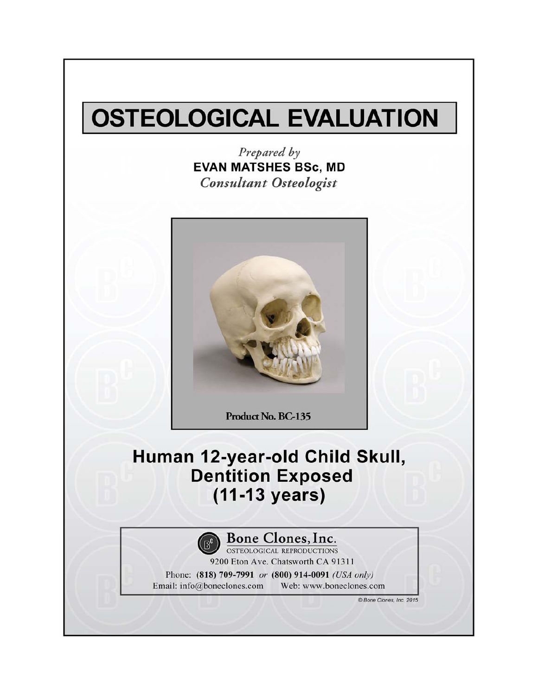# **OSTEOLOGICAL EVALUATION**

Prepared by **EVAN MATSHES BSc, MD Consultant Osteologist** 



Product No. BC-135

### Human 12-year-old Child Skull, **Dentition Exposed**  $(11-13 \text{ years})$



**Bone Clones, Inc.**<br> **OSTEOLOGICAL REPRODUCTIONS** 

9200 Eton Ave. Chatsworth CA 91311

Phone: (818) 709-7991 or (800) 914-0091 (USA only) Email: info@boneclones.com Web: www.boneclones.com

© Bone Clones, Inc. 2015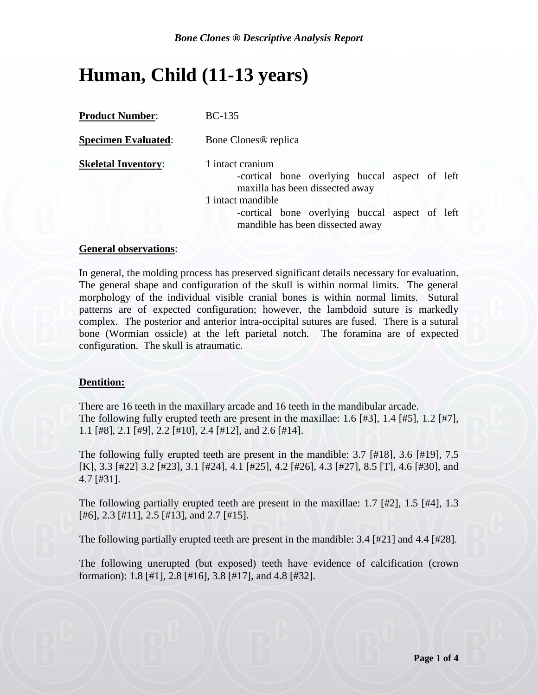## **Human, Child (11-13 years)**

| <b>Product Number:</b>     | $BC-135$                                                                                                |
|----------------------------|---------------------------------------------------------------------------------------------------------|
| <b>Specimen Evaluated:</b> | Bone Clones <sup>®</sup> replica                                                                        |
| <b>Skeletal Inventory:</b> | 1 intact cranium<br>-cortical bone overlying buccal aspect of left<br>maxilla has been dissected away   |
|                            | 1 intact mandible<br>-cortical bone overlying buccal aspect of left<br>mandible has been dissected away |

#### **General observations**:

In general, the molding process has preserved significant details necessary for evaluation. The general shape and configuration of the skull is within normal limits. The general morphology of the individual visible cranial bones is within normal limits. Sutural patterns are of expected configuration; however, the lambdoid suture is markedly complex. The posterior and anterior intra-occipital sutures are fused. There is a sutural bone (Wormian ossicle) at the left parietal notch. The foramina are of expected configuration. The skull is atraumatic.

#### **Dentition:**

There are 16 teeth in the maxillary arcade and 16 teeth in the mandibular arcade. The following fully erupted teeth are present in the maxillae: 1.6 [#3], 1.4 [#5], 1.2 [#7], 1.1 [#8], 2.1 [#9], 2.2 [#10], 2.4 [#12], and 2.6 [#14].

The following fully erupted teeth are present in the mandible: 3.7 [#18], 3.6 [#19], 7.5 [K], 3.3 [#22] 3.2 [#23], 3.1 [#24], 4.1 [#25], 4.2 [#26], 4.3 [#27], 8.5 [T], 4.6 [#30], and 4.7 [#31].

The following partially erupted teeth are present in the maxillae: 1.7 [#2], 1.5 [#4], 1.3 [#6], 2.3 [#11], 2.5 [#13], and 2.7 [#15].

The following partially erupted teeth are present in the mandible: 3.4 [#21] and 4.4 [#28].

The following unerupted (but exposed) teeth have evidence of calcification (crown formation): 1.8 [#1], 2.8 [#16], 3.8 [#17], and 4.8 [#32].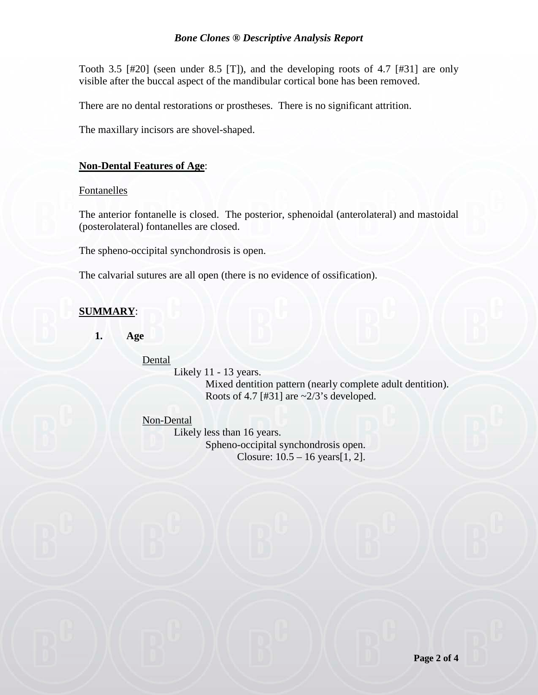Tooth 3.5 [#20] (seen under 8.5 [T]), and the developing roots of 4.7 [#31] are only visible after the buccal aspect of the mandibular cortical bone has been removed.

There are no dental restorations or prostheses. There is no significant attrition.

The maxillary incisors are shovel-shaped.

#### **Non-Dental Features of Age**:

Fontanelles

The anterior fontanelle is closed. The posterior, sphenoidal (anterolateral) and mastoidal (posterolateral) fontanelles are closed.

The spheno-occipital synchondrosis is open.

The calvarial sutures are all open (there is no evidence of ossification).

### **SUMMARY**:

**1. Age**

Dental

Likely 11 - 13 years.

Mixed dentition pattern (nearly complete adult dentition). Roots of 4.7 [#31] are  $\sim$ 2/3's developed.

Non-Dental

Likely less than 16 years. Spheno-occipital synchondrosis open. Closure: 10.5 – 16 years[1, 2].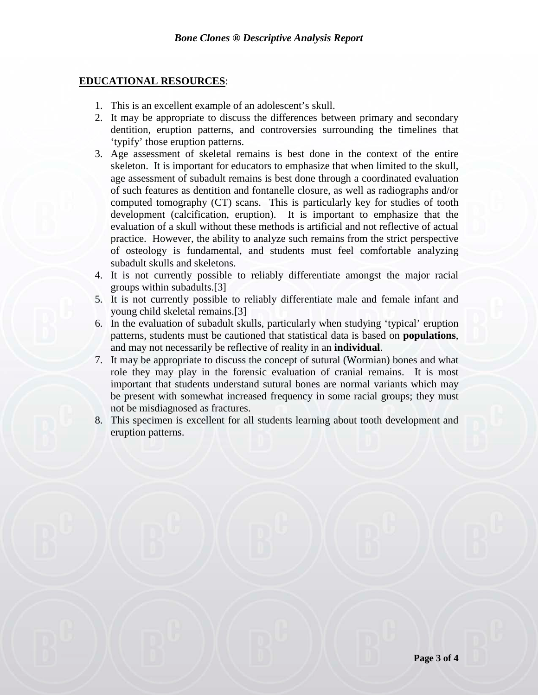#### **EDUCATIONAL RESOURCES**:

- 1. This is an excellent example of an adolescent's skull.
- 2. It may be appropriate to discuss the differences between primary and secondary dentition, eruption patterns, and controversies surrounding the timelines that 'typify' those eruption patterns.
- 3. Age assessment of skeletal remains is best done in the context of the entire skeleton. It is important for educators to emphasize that when limited to the skull, age assessment of subadult remains is best done through a coordinated evaluation of such features as dentition and fontanelle closure, as well as radiographs and/or computed tomography (CT) scans. This is particularly key for studies of tooth development (calcification, eruption). It is important to emphasize that the evaluation of a skull without these methods is artificial and not reflective of actual practice. However, the ability to analyze such remains from the strict perspective of osteology is fundamental, and students must feel comfortable analyzing subadult skulls and skeletons.
- 4. It is not currently possible to reliably differentiate amongst the major racial groups within subadults.[3]
- 5. It is not currently possible to reliably differentiate male and female infant and young child skeletal remains.[3]
- 6. In the evaluation of subadult skulls, particularly when studying 'typical' eruption patterns, students must be cautioned that statistical data is based on **populations**, and may not necessarily be reflective of reality in an **individual**.
- 7. It may be appropriate to discuss the concept of sutural (Wormian) bones and what role they may play in the forensic evaluation of cranial remains. It is most important that students understand sutural bones are normal variants which may be present with somewhat increased frequency in some racial groups; they must not be misdiagnosed as fractures.
- 8. This specimen is excellent for all students learning about tooth development and eruption patterns.